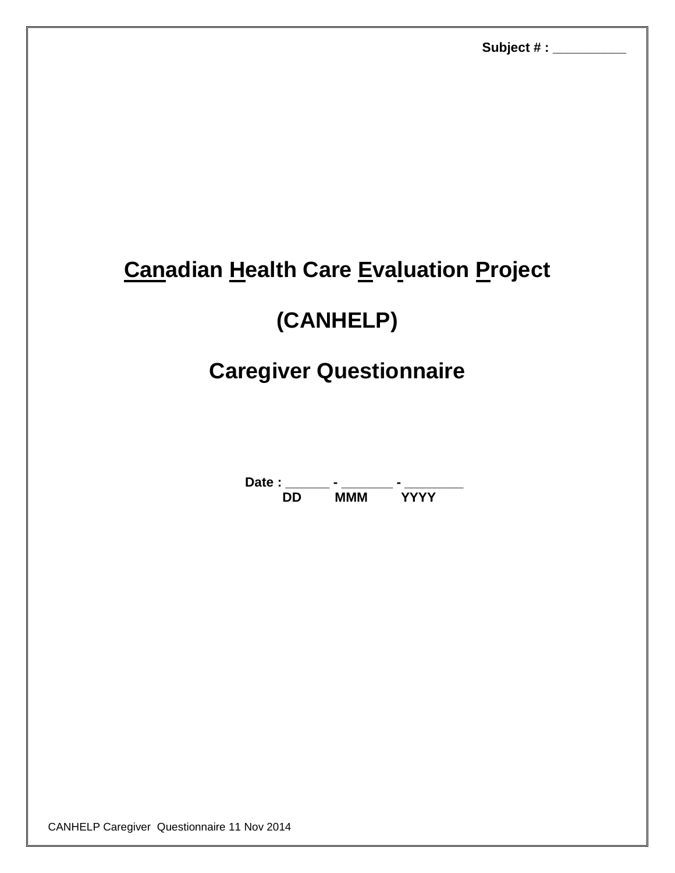# **Canadian Health Care Evaluation Project**

# **(CANHELP)**

# **Caregiver Questionnaire**

**Date : \_\_\_\_\_\_ - \_\_\_\_\_\_\_ - \_\_\_\_\_\_\_\_ DD MMM YYYY**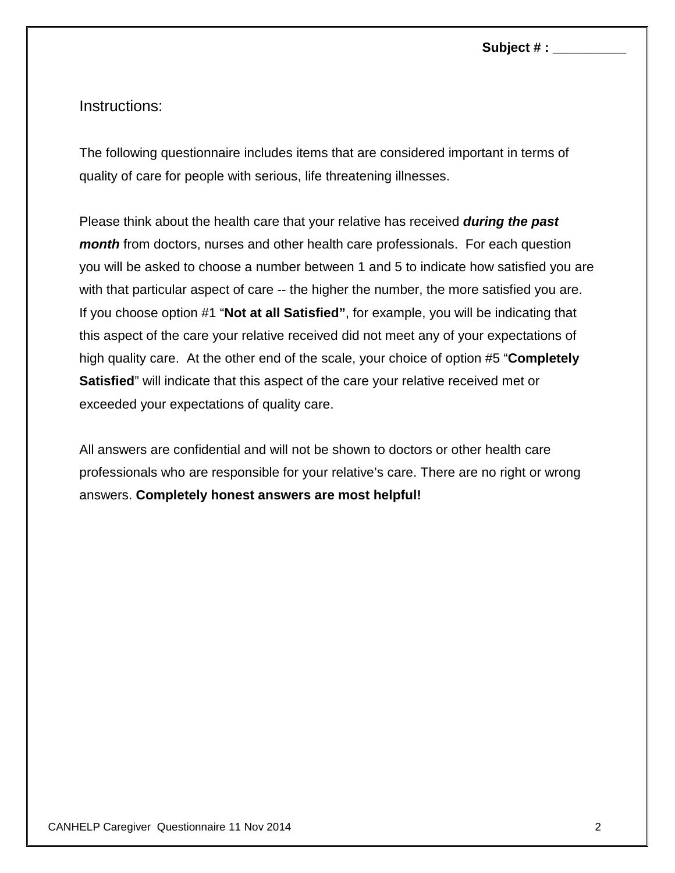**Subject # : \_\_\_\_\_\_\_\_\_\_**

Instructions:

The following questionnaire includes items that are considered important in terms of quality of care for people with serious, life threatening illnesses.

Please think about the health care that your relative has received *during the past month* from doctors, nurses and other health care professionals. For each question you will be asked to choose a number between 1 and 5 to indicate how satisfied you are with that particular aspect of care -- the higher the number, the more satisfied you are. If you choose option #1 "**Not at all Satisfied"**, for example, you will be indicating that this aspect of the care your relative received did not meet any of your expectations of high quality care. At the other end of the scale, your choice of option #5 "**Completely Satisfied**" will indicate that this aspect of the care your relative received met or exceeded your expectations of quality care.

All answers are confidential and will not be shown to doctors or other health care professionals who are responsible for your relative's care. There are no right or wrong answers. **Completely honest answers are most helpful!**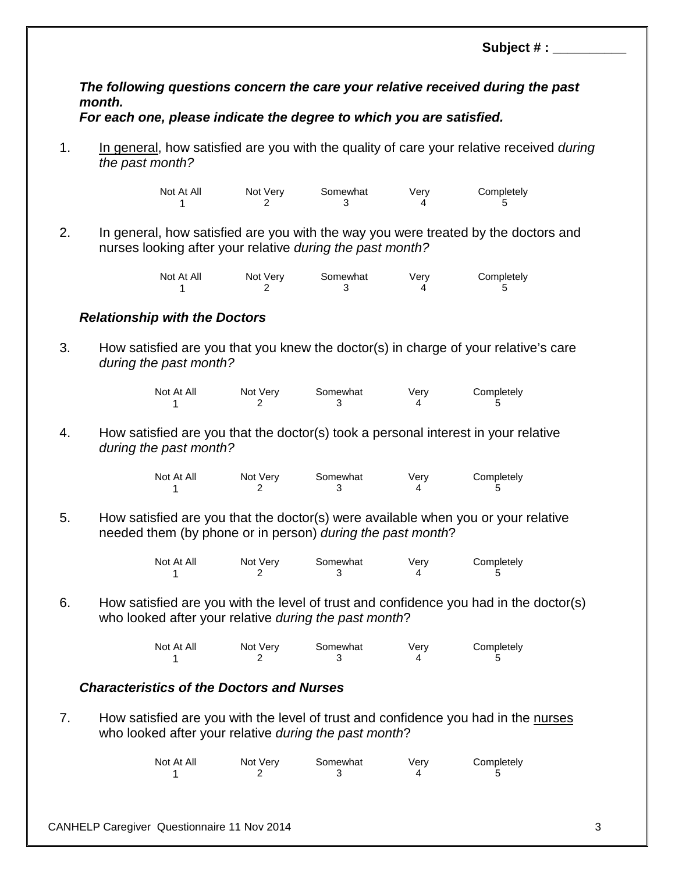**Subject # : \_\_\_\_\_\_\_\_\_\_**

### *The following questions concern the care your relative received during the past month.*

### *For each one, please indicate the degree to which you are satisfied.*

1. In general, how satisfied are you with the quality of care your relative received *during the past month?*

> Not At All Mot Very Somewhat Very Completely 1 2 3 4 5

2. In general, how satisfied are you with the way you were treated by the doctors and nurses looking after your relative *during the past month?*

| Not At All | Not Very | Somewhat | Verv | Completely |
|------------|----------|----------|------|------------|
|            |          |          |      |            |

### *Relationship with the Doctors*

3. How satisfied are you that you knew the doctor(s) in charge of your relative's care *during the past month?*

| Not At All | Not Very | Somewhat | Verv | Completely |
|------------|----------|----------|------|------------|
|            |          |          |      |            |

4. How satisfied are you that the doctor(s) took a personal interest in your relative *during the past month?*

| Not At All | Not Very | Somewhat | Verv | Completely |
|------------|----------|----------|------|------------|
|            |          |          |      |            |

5. How satisfied are you that the doctor(s) were available when you or your relative needed them (by phone or in person) *during the past month*?

| Not At All | Not Very | Somewhat | Verv | Completely |
|------------|----------|----------|------|------------|
|            |          |          |      |            |

6. How satisfied are you with the level of trust and confidence you had in the doctor(s) who looked after your relative *during the past month*?

| Not At All | Not Very | Somewhat | Verv | Completely |
|------------|----------|----------|------|------------|
|            |          |          |      |            |

## *Characteristics of the Doctors and Nurses*

7. How satisfied are you with the level of trust and confidence you had in the nurses who looked after your relative *during the past month*?

| Not At All | Not Very | Somewhat | Verv | Completely |
|------------|----------|----------|------|------------|
|            |          |          |      |            |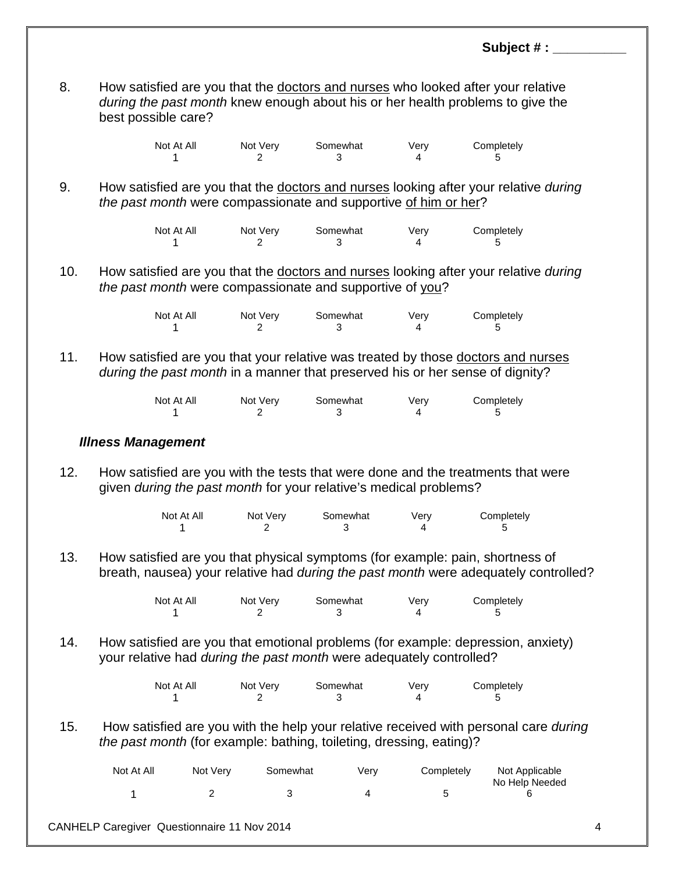8. How satisfied are you that the doctors and nurses who looked after your relative *during the past month* knew enough about his or her health problems to give the best possible care?

> Not At All Mot Very Somewhat Very Completely 1 2 3 4 5

9. How satisfied are you that the doctors and nurses looking after your relative *during the past month* were compassionate and supportive of him or her?

| Not At All | Not Very | Somewhat | Verv | Completely |
|------------|----------|----------|------|------------|
|            |          |          |      |            |

10. How satisfied are you that the doctors and nurses looking after your relative *during the past month* were compassionate and supportive of you?

| Not At All | Not Very | Somewhat | Verv | Completely |
|------------|----------|----------|------|------------|
|            |          |          |      |            |

11. How satisfied are you that your relative was treated by those doctors and nurses *during the past month* in a manner that preserved his or her sense of dignity?

| Not At All | Not Very | Somewhat | Verv | Completely |
|------------|----------|----------|------|------------|
|            |          |          |      |            |

#### *Illness Management*

12. How satisfied are you with the tests that were done and the treatments that were given *during the past month* for your relative's medical problems?

| Not At All | Not Very | Somewhat | Verv | Completely |
|------------|----------|----------|------|------------|
|            |          |          |      |            |

13. How satisfied are you that physical symptoms (for example: pain, shortness of breath, nausea) your relative had *during the past month* were adequately controlled?

| Not At All | Not Very | Somewhat | Verv | Completely |
|------------|----------|----------|------|------------|
|            |          |          |      |            |

14. How satisfied are you that emotional problems (for example: depression, anxiety) your relative had *during the past month* were adequately controlled?

| Not At All | Not Very | Somewhat | Very | Completely |
|------------|----------|----------|------|------------|
|            |          |          |      |            |

15. How satisfied are you with the help your relative received with personal care *during the past month* (for example: bathing, toileting, dressing, eating)?

| Not At All | Not Verv<br>Somewhat |  | Verv | Completely | Not Applicable<br>No Help Needed |
|------------|----------------------|--|------|------------|----------------------------------|
|            |                      |  |      |            |                                  |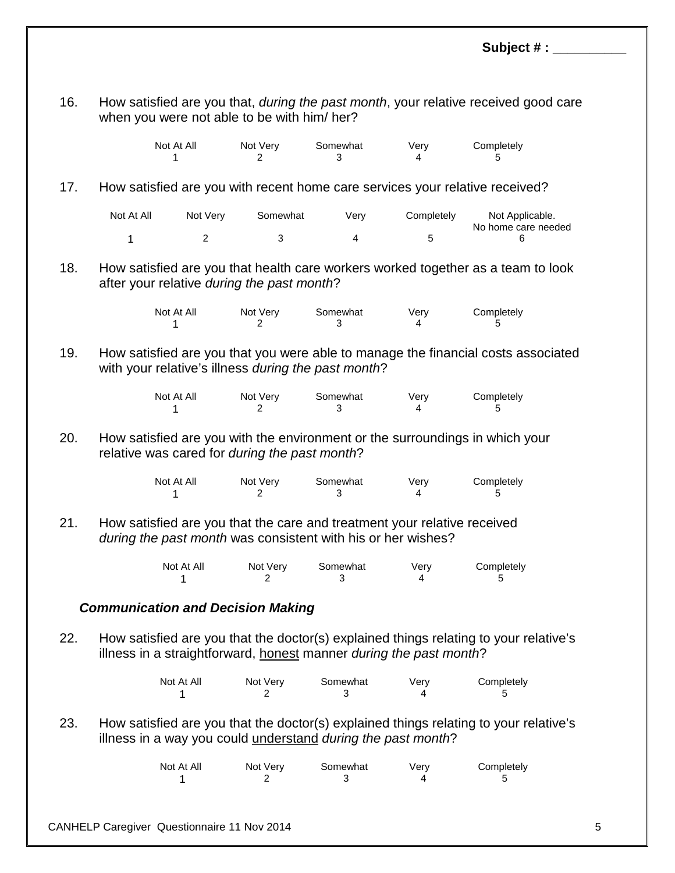**Subject # : \_\_\_\_\_\_\_\_\_\_** 16. How satisfied are you that, *during the past month*, your relative received good care when you were not able to be with him/ her? Not At All Mot Very Somewhat Very Completely 1 2 3 4 5 17. How satisfied are you with recent home care services your relative received? Not At All Not Very Somewhat Very Completely Not Applicable. No home care needed 1 2 3 4 5 6 18. How satisfied are you that health care workers worked together as a team to look after your relative *during the past month*? Not At All Mot Very Somewhat Very Completely 1 2 3 4 5 19. How satisfied are you that you were able to manage the financial costs associated with your relative's illness *during the past month*? Not At All Mot Very Somewhat Very Completely 1 2 3 4 5 20. How satisfied are you with the environment or the surroundings in which your relative was cared for *during the past month*? Not At All Mot Very Somewhat Very Completely 1 2 3 4 5 21. How satisfied are you that the care and treatment your relative received *during the past month* was consistent with his or her wishes?

| Not At All | Not Very | Somewhat | Verv | Completely |
|------------|----------|----------|------|------------|
|            |          |          |      |            |

#### *Communication and Decision Making*

22. How satisfied are you that the doctor(s) explained things relating to your relative's illness in a straightforward, honest manner *during the past month*?

| Not At All | Not Very | Somewhat | Verv | Completely |
|------------|----------|----------|------|------------|
|            |          |          |      |            |

23. How satisfied are you that the doctor(s) explained things relating to your relative's illness in a way you could understand *during the past month*?

| Not At All | Not Very | Somewhat | Very | Completely |
|------------|----------|----------|------|------------|
|            |          |          |      |            |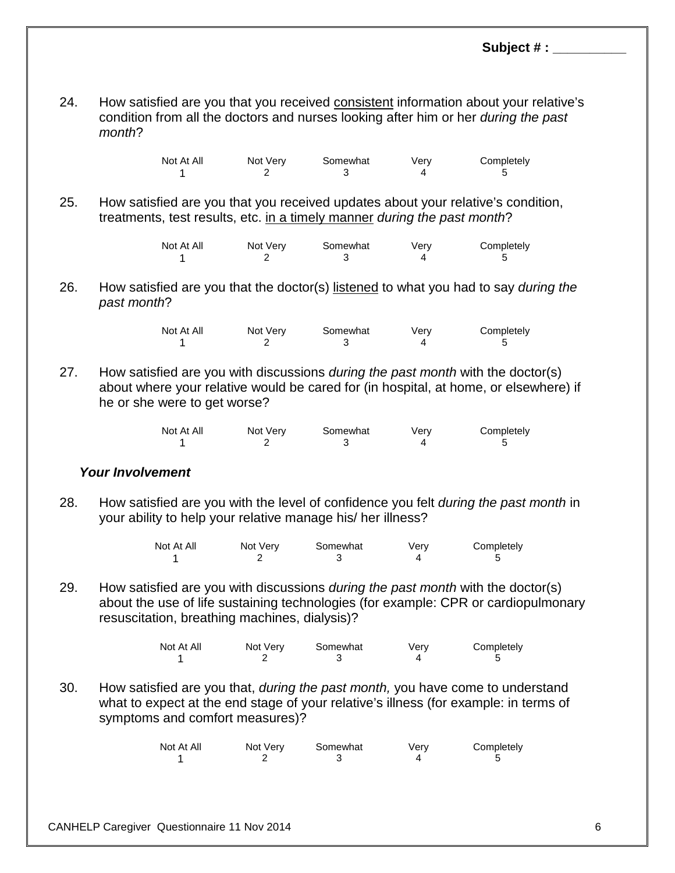24. How satisfied are you that you received consistent information about your relative's condition from all the doctors and nurses looking after him or her *during the past month*?

| Not At All | Not Very | Somewhat | Verv | Completely |
|------------|----------|----------|------|------------|
|            |          |          |      |            |

25. How satisfied are you that you received updates about your relative's condition, treatments, test results, etc. in a timely manner *during the past month*?

| Not At All | Not Very | Somewhat | Verv | Completely |
|------------|----------|----------|------|------------|
|            |          |          |      |            |

26. How satisfied are you that the doctor(s) listened to what you had to say *during the past month*?

| Not At All | Not Very | Somewhat | Verv | Completely |
|------------|----------|----------|------|------------|
|            |          |          |      |            |

27. How satisfied are you with discussions *during the past month* with the doctor(s) about where your relative would be cared for (in hospital, at home, or elsewhere) if he or she were to get worse?

| Not At All | Not Very | Somewhat | Very | Completely |
|------------|----------|----------|------|------------|
|            |          |          |      |            |

#### *Your Involvement*

28. How satisfied are you with the level of confidence you felt *during the past month* in your ability to help your relative manage his/ her illness?

| Not At All | Not Very | Somewhat | Very | Completely |
|------------|----------|----------|------|------------|
|            |          |          |      |            |

29. How satisfied are you with discussions *during the past month* with the doctor(s) about the use of life sustaining technologies (for example: CPR or cardiopulmonary resuscitation, breathing machines, dialysis)?

| Not At All | Not Very | Somewhat | Verv | Completely |
|------------|----------|----------|------|------------|
|            |          |          |      |            |

30. How satisfied are you that, *during the past month,* you have come to understand what to expect at the end stage of your relative's illness (for example: in terms of symptoms and comfort measures)?

| Not At All | Not Very | Somewhat | Very | Completely |
|------------|----------|----------|------|------------|
|            |          |          |      |            |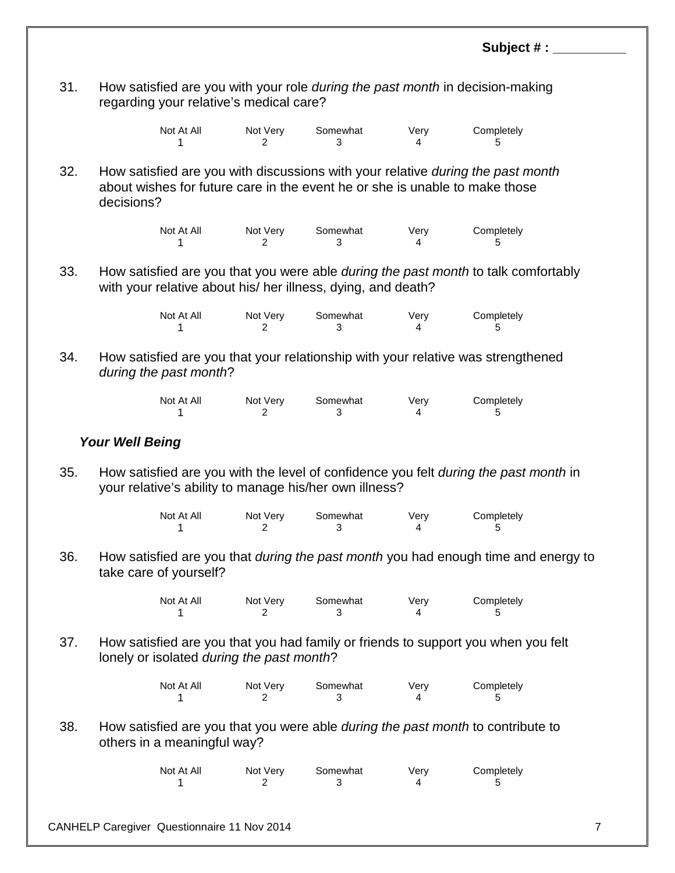|     |                                                                                                                                                                              |               |               |           | Subject # :     |                |
|-----|------------------------------------------------------------------------------------------------------------------------------------------------------------------------------|---------------|---------------|-----------|-----------------|----------------|
| 31. | How satisfied are you with your role <i>during the past month</i> in decision-making<br>regarding your relative's medical care?                                              |               |               |           |                 |                |
|     | Not At All<br>1                                                                                                                                                              | Not Very<br>2 | Somewhat<br>3 | Very<br>4 | Completely<br>5 |                |
| 32. | How satisfied are you with discussions with your relative during the past month<br>about wishes for future care in the event he or she is unable to make those<br>decisions? |               |               |           |                 |                |
|     | Not At All<br>1                                                                                                                                                              | Not Very<br>2 | Somewhat<br>3 | Very<br>4 | Completely<br>5 |                |
| 33. | How satisfied are you that you were able <i>during the past month</i> to talk comfortably<br>with your relative about his/ her illness, dying, and death?                    |               |               |           |                 |                |
|     | Not At All<br>1                                                                                                                                                              | Not Very<br>2 | Somewhat<br>3 | Very<br>4 | Completely<br>5 |                |
| 34. | How satisfied are you that your relationship with your relative was strengthened<br>during the past month?                                                                   |               |               |           |                 |                |
|     | Not At All<br>1                                                                                                                                                              | Not Very<br>2 | Somewhat<br>3 | Very<br>4 | Completely<br>5 |                |
|     | <b>Your Well Being</b>                                                                                                                                                       |               |               |           |                 |                |
| 35. | How satisfied are you with the level of confidence you felt during the past month in<br>your relative's ability to manage his/her own illness?                               |               |               |           |                 |                |
|     | Not At All                                                                                                                                                                   | Not Very<br>2 | Somewhat<br>3 | Very<br>4 | Completely<br>5 |                |
| 36. | How satisfied are you that <i>during the past month</i> you had enough time and energy to<br>take care of yourself?                                                          |               |               |           |                 |                |
|     | Not At All<br>1                                                                                                                                                              | Not Very<br>2 | Somewhat<br>3 | Very<br>4 | Completely<br>5 |                |
| 37. | How satisfied are you that you had family or friends to support you when you felt<br>lonely or isolated during the past month?                                               |               |               |           |                 |                |
|     | Not At All<br>1                                                                                                                                                              | Not Very<br>2 | Somewhat<br>3 | Very<br>4 | Completely<br>5 |                |
| 38. | How satisfied are you that you were able <i>during the past month</i> to contribute to<br>others in a meaningful way?                                                        |               |               |           |                 |                |
|     | Not At All<br>1                                                                                                                                                              | Not Very<br>2 | Somewhat<br>3 | Very<br>4 | Completely<br>5 |                |
|     | CANHELP Caregiver Questionnaire 11 Nov 2014                                                                                                                                  |               |               |           |                 | $\overline{7}$ |